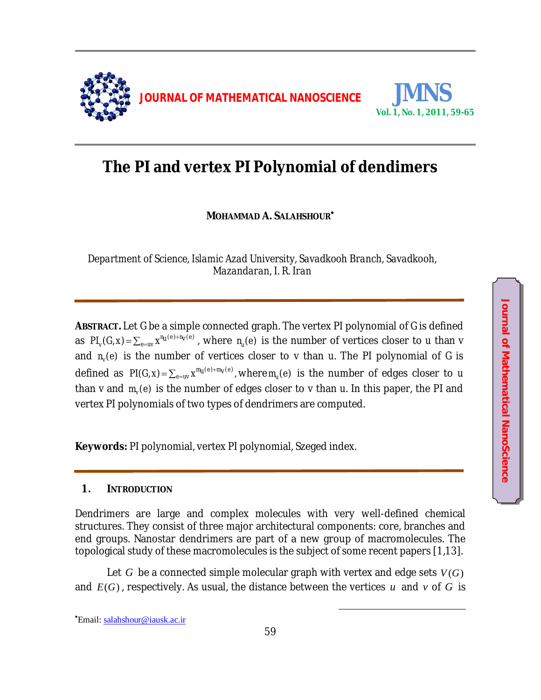

# **The PI and vertex PI Polynomial of dendimers**

**MOHAMMAD A. SALAHSHOUR**

*Department of Science, Islamic Azad University, Savadkooh Branch, Savadkooh, Mazandaran, I. R. Iran* 

**ABSTRACT.** Let *G* be a simple connected graph. The vertex PI polynomial of *G* is defined as  $Pl_{_V}(G,x)\!=\!\sum_{e=u\!\sim}x^{\eta_{_U}(e)+\eta_{_V}(e)}$  , where  $n_{_U}(e)$  is the number of vertices closer to  $u$  than  $v$ and  $n_{\nu}(e)$  is the number of vertices closer to *v* than *u*. The PI polynomial of *G* is defined as  $PI(G, x)$  =  $\sum_{e=uv} x^{m_U(e)+m_V(e)}$  , where  $m_U(e)$  is the number of edges closer to  $u$ than *v* and  $m_{\nu}(e)$  is the number of edges closer to *v* than *u*. In this paper, the PI and vertex PI polynomials of two types of dendrimers are computed.

**Keywords:** PI polynomial, vertex PI polynomial, Szeged index.

### **1. INTRODUCTION**

Dendrimers are large and complex molecules with very well-defined chemical structures. They consist of three major architectural components: core, branches and end groups. Nanostar dendrimers are part of a new group of macromolecules. The topological study of these macromolecules is the subject of some recent papers [1,13].

Let *G* be a connected simple molecular graph with vertex and edge sets  $V(G)$ and  $E(G)$ , respectively. As usual, the distance between the vertices *u* and *v* of *G* is

Email: salahshour@iausk.ac.ir

 $\overline{\phantom{a}}$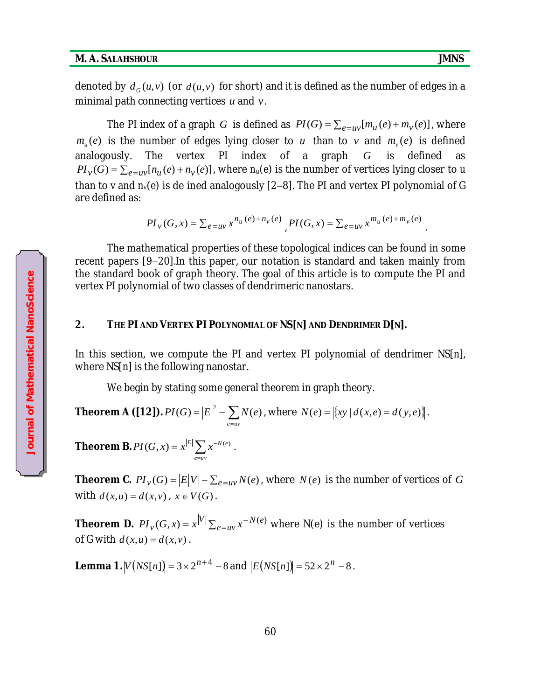.

denoted by  $d_G(u,v)$  (or  $d(u,v)$  for short) and it is defined as the number of edges in a minimal path connecting vertices *u* and *v*.

The PI index of a graph *G* is defined as  $PI(G) = \sum_{e=uv} [m_u(e) + m_v(e)]$ , where  $m_u(e)$  is the number of edges lying closer to  $u$  than to  $v$  and  $m_v(e)$  is defined analogously. The vertex PI index of a graph *G* is defined as  $\mathcal{P}I_{v}(G) = \sum_{e=uv} [n_{u}(e) + n_{v}(e)]$ , where  $n_{u}(e)$  is the number of vertices lying closer to *u* than to *v* and  $n<sub>v</sub>(e)$  is de ined analogously [2-8]. The PI and vertex PI polynomial of G are defined as:

$$
PI_{v}(G, x) = \sum_{e=uv} x^{n_u(e) + n_v(e)} PIG(x, x) = \sum_{e=uv} x^{m_u(e) + m_v(e)}
$$

The mathematical properties of these topological indices can be found in some recent papers [9-20]. In this paper, our notation is standard and taken mainly from the standard book of graph theory. The goal of this article is to compute the PI and vertex PI polynomial of two classes of dendrimeric nanostars.

### **2. THE PI AND VERTEX PI POLYNOMIAL OF NS[N] AND DENDRIMER D[N].**

In this section, we compute the PI and vertex PI polynomial of dendrimer NS[n], where NS[n] is the following nanostar.

We begin by stating some general theorem in graph theory.

**Theorem A ([12]).** 
$$
PI(G) = |E|^2 - \sum_{e=uv} N(e)
$$
, where  $N(e) = |\{xy | d(x,e) = d(y,e)\}|$ .

**Theorem B.**  $PI(G, x) = x^{|E|} \sum_{e=w} x^{-e}$ *e uv*  $PI(G, x) = x^{|E|} \sum x^{-N(e)}$ .

**Theorem C.**  $PI_v(G) = |E||V| - \sum_{e=uv} N(e)$ , where  $N(e)$  is the number of vertices of *G* with  $d(x, u) = d(x, v)$ ,  $x \in V(G)$ .

**Theorem D.**  $PI_v(G, x) = x^{|V|} \sum_{e=uv} x^{-e}$ *e uv*  $PI_v(G, x) = x^{|V|} \sum_{e=uv} x^{-N(e)}$  where N(e) is the number of vertices of G with  $d(x, u) = d(x, v)$ . **EP and Science The Science of Science Control**<br> **Note that PI polynomial of two classes of dendrimeric nanostars.**<br> **2. THE PI AND VERTEX PI POLYNOMIAL OF NS[N] AND DENDIMATELY PI POLYNOMIAL OF NS[N] AND DENDIMATELY PI** 

**Lemma 1.**  $|V(NS[n])| = 3 \times 2^{n+4} - 8$  and  $|E(NS[n])| = 52 \times 2^n - 8$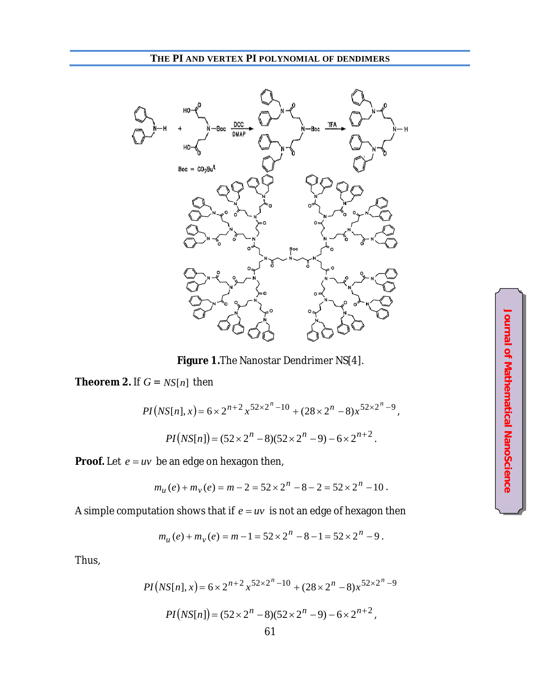## **THE PI AND VERTEX PI POLYNOMIAL OF DENDIMERS**



**Figure 1.**The Nanostar Dendrimer NS[4].

**Theorem 2.** If  $G = NS[n]$  then

$$
PI\big(NS[n], x\big) = 6 \times 2^{n+2} x^{52 \times 2^n - 10} + (28 \times 2^n - 8) x^{52 \times 2^n - 9},
$$

$$
PI\big(NS[n]\big) = (52 \times 2^n - 8)(52 \times 2^n - 9) - 6 \times 2^{n+2}.
$$

**Proof.** Let  $e = uv$  be an edge on hexagon then,

$$
m_u(e) + m_v(e) = m - 2 = 52 \times 2^n - 8 - 2 = 52 \times 2^n - 10.
$$

A simple computation shows that if  $e = uv$  is not an edge of hexagon then

$$
m_u(e) + m_v(e) = m - 1 = 52 \times 2^n - 8 - 1 = 52 \times 2^n - 9.
$$

Thus,

$$
PI\left(NS[n],x\right) = 6 \times 2^{n+2} x^{52 \times 2^n - 10} + (28 \times 2^n - 8) x^{52 \times 2^n - 9}
$$

$$
PI\left(NS[n]\right) = (52 \times 2^n - 8)(52 \times 2^n - 9) - 6 \times 2^{n+2},
$$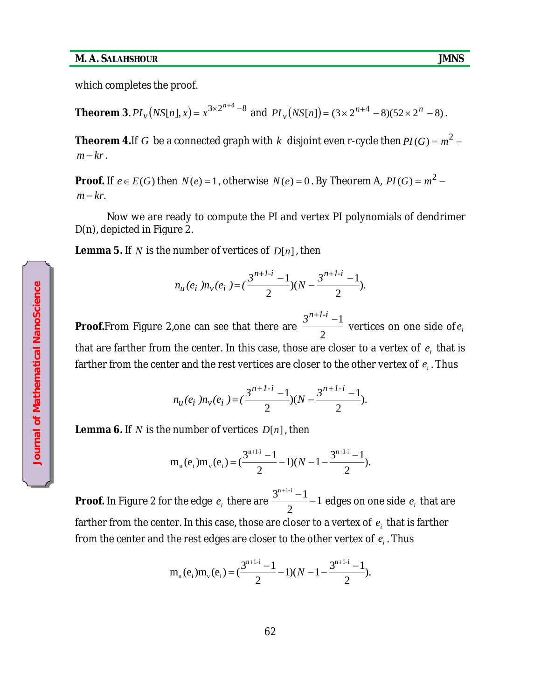which completes the proof.

**Theorem 3**.  $PI_v(NS[n], x) = x^{3 \times 2^{n+4} - 8}$  and  $PI_v(NS[n]) = (3 \times 2^{n+4} - 8)(52 \times 2^n - 8)$ .

**Theorem 4.**If  $G$  be a connected graph with  $k$  disjoint even r-cycle then  $PI(G)$  =  $m^2$  –  $m - kr$ .

**Proof.** If  $e \in E(G)$  then  $N(e) = 1$  , otherwise  $N(e) = 0$  . By Theorem A,  $PI(G) = m^2 - 1$  $m - kr$ .

Now we are ready to compute the PI and vertex PI polynomials of dendrimer D(n), depicted in Figure 2.

**Lemma 5.** If *N* is the number of vertices of *D*[*n*], then

$$
n_u(e_i) n_v(e_i) = \left(\frac{3^{n+1-i} - 1}{2}\right)(N - \frac{3^{n+1-i} - 1}{2}).
$$

**Proof.**From Figure 2,one can see that there are 2  $3^{n+1-i} - 1$ vertices on one side of $\emph{e}_{i}$ that are farther from the center. In this case, those are closer to a vertex of  $e_i$  that is farther from the center and the rest vertices are closer to the other vertex of  $e_i$  . Thus

$$
n_u(e_i) n_v(e_i) = \left(\frac{3^{n+1-i} - 1}{2}\right)(N - \frac{3^{n+1-i} - 1}{2}).
$$

**Lemma 6.** If *N* is the number of vertices *D*[*n*], then

$$
m_{u}(e_{i})m_{v}(e_{i}) = \left(\frac{3^{n+1-i}-1}{2}-1\right)(N-1-\frac{3^{n+1-i}-1}{2}).
$$

**Proof.** In Figure 2 for the edge  $e_i$  there are  $\frac{2}{2}$  -1 2  $3^{n+1-i}-1$  $\frac{1}{2}$  - 1 edges on one side  $\,e_{_{i}}\,$  that are farther from the center. In this case, those are closer to a vertex of  $\,e_{_{i}}\,$  that is farther from the center and the rest edges are closer to the other vertex of  $e_i$  . Thus

$$
m_u(e_i)m_v(e_i) = \left(\frac{3^{n+1-i}-1}{2} - 1\right)(N - 1 - \frac{3^{n+1-i}-1}{2}).
$$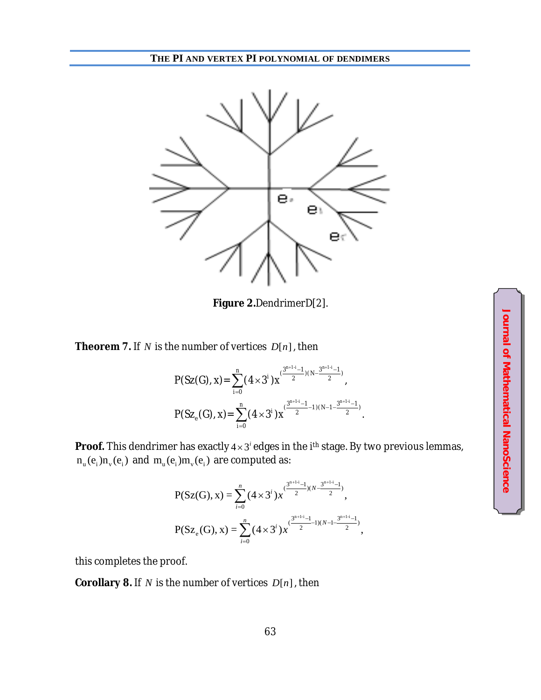

**Figure 2.**DendrimerD[2].

**Theorem 7.** If *N* is the number of vertices *D*[*n*], then

$$
P(Sz(G), x) = \sum_{i=0}^{n} (4 \times 3^{i}) x^{(\frac{3^{n+1-i}-1}{2})(N - \frac{3^{n+1-i}-1}{2})},
$$
  
 
$$
P(Sz_{e}(G), x) = \sum_{i=0}^{n} (4 \times 3^{i}) x^{(\frac{3^{n+1-i}-1}{2}-1)(N-1 - \frac{3^{n+1-i}-1}{2})}.
$$

**Proof.** This dendrimer has exactly  $4 \times 3^i$  edges in the *i*<sup>th</sup> stage. By two previous lemmas,  $n_{u}(e_{i})n_{v}(e_{i})$  and  $m_{u}(e_{i})m_{v}(e_{i})$  are computed as:

$$
P(Sz(G), x) = \sum_{i=0}^{n} (4 \times 3^{i}) x^{(\frac{3^{n+1-i}-1}{2})(N-\frac{3^{n+1-i}-1}{2})},
$$
  

$$
P(Sz_{e}(G), x) = \sum_{i=0}^{n} (4 \times 3^{i}) x^{(\frac{3^{n+1-i}-1}{2}-1)(N-1-\frac{3^{n+1-i}-1}{2})},
$$

this completes the proof.

**Corollary 8.** If *N* is the number of vertices *D*[*n*], then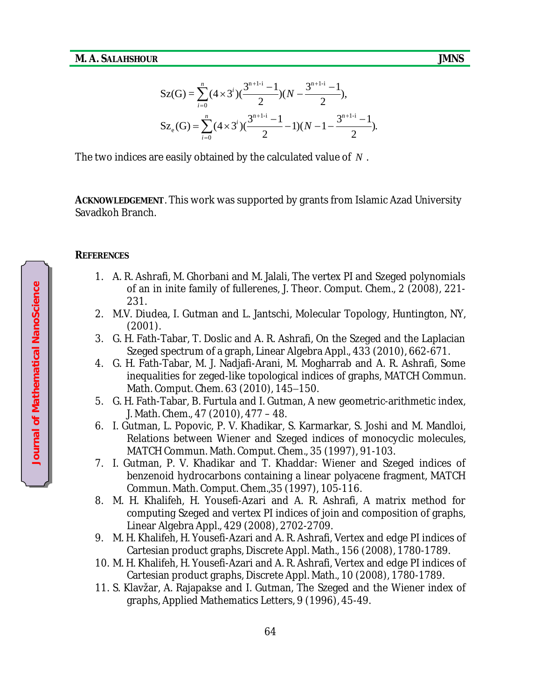$$
Sz(G) = \sum_{i=0}^{n} (4 \times 3^{i}) (\frac{3^{n+1-i}-1}{2})(N - \frac{3^{n+1-i}-1}{2}),
$$
  
\n
$$
Sz_e(G) = \sum_{i=0}^{n} (4 \times 3^{i}) (\frac{3^{n+1-i}-1}{2} - 1)(N - 1 - \frac{3^{n+1-i}-1}{2}).
$$

The two indices are easily obtained by the calculated value of *N* .

**ACKNOWLEDGEMENT**. This work was supported by grants from Islamic Azad University Savadkoh Branch.

### **REFERENCES**

- 1. A. R. Ashrafi, M. Ghorbani and M. Jalali, The vertex PI and Szeged polynomials of an in inite family of fullerenes, J. Theor. Comput. Chem., 2 (2008), 221- 231.
- 2. M.V. Diudea, I. Gutman and L. Jantschi, Molecular Topology, Huntington, NY, (2001).
- 3. G. H. Fath-Tabar, T. Doslic and A. R. Ashrafi, On the Szeged and the Laplacian Szeged spectrum of a graph, Linear Algebra Appl., 433 (2010), 662-671.
- 4. G. H. Fath-Tabar, M. J. Nadjafi-Arani, M. Mogharrab and A. R. Ashrafi, Some inequalities for zeged-like topological indices of graphs, MATCH Commun. Math. Comput. Chem. 63 (2010), 145-150.
- 5. G. H. Fath-Tabar, B. Furtula and I. Gutman, A new geometric-arithmetic index, J. Math. Chem., 47 (2010), 477 – 48.
- 6. I. Gutman, L. Popovic, P. V. Khadikar, S. Karmarkar, S. Joshi and M. Mandloi, Relations between Wiener and Szeged indices of monocyclic molecules, MATCH Commun. Math. Comput. Chem., 35 (1997), 91-103.
- 7. I. Gutman, P. V. Khadikar and T. Khaddar: Wiener and Szeged indices of benzenoid hydrocarbons containing a linear polyacene fragment, MATCH Commun. Math. Comput. Chem.,35 (1997), 105-116.
- 8. M. H. Khalifeh, H. Yousefi-Azari and A. R. Ashrafi, A matrix method for computing Szeged and vertex PI indices of join and composition of graphs, Linear Algebra Appl., 429 (2008), 2702-2709.
- 9. M. H. Khalifeh, H. Yousefi-Azari and A. R. Ashrafi, Vertex and edge PI indices of Cartesian product graphs, Discrete Appl. Math., 156 (2008), 1780-1789.
- 10. M. H. Khalifeh, H. Yousefi-Azari and A. R. Ashrafi, Vertex and edge PI indices of Cartesian product graphs, Discrete Appl. Math., 10 (2008), 1780-1789.
- 11. S. Klavžar, A. Rajapakse and I. Gutman, The Szeged and the Wiener index of graphs, Applied Mathematics Letters, 9 (1996), 45-49.